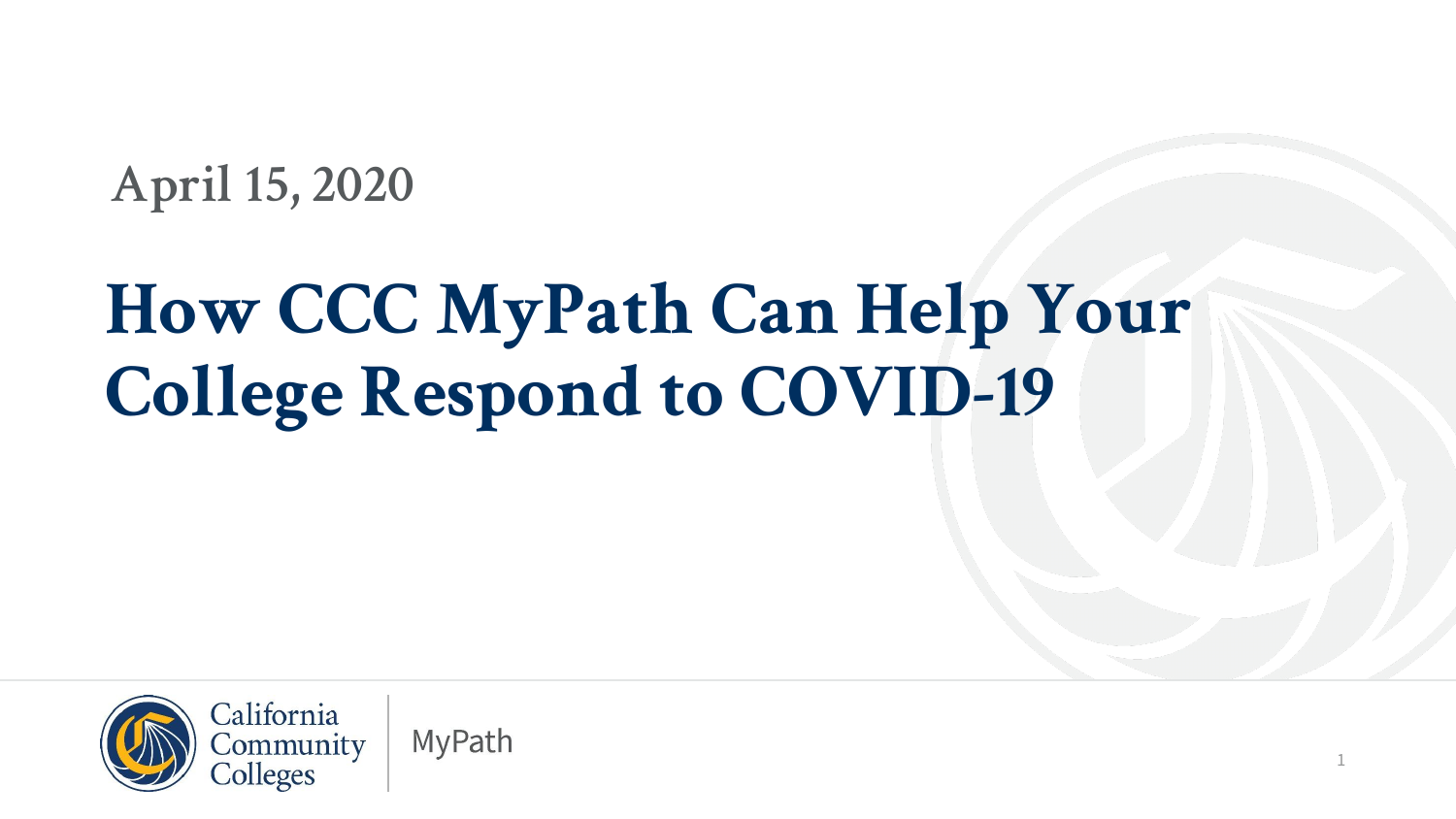#### **April 15, 2020**

### **How CCC MyPath Can Help Your College Respond to COVID-19**

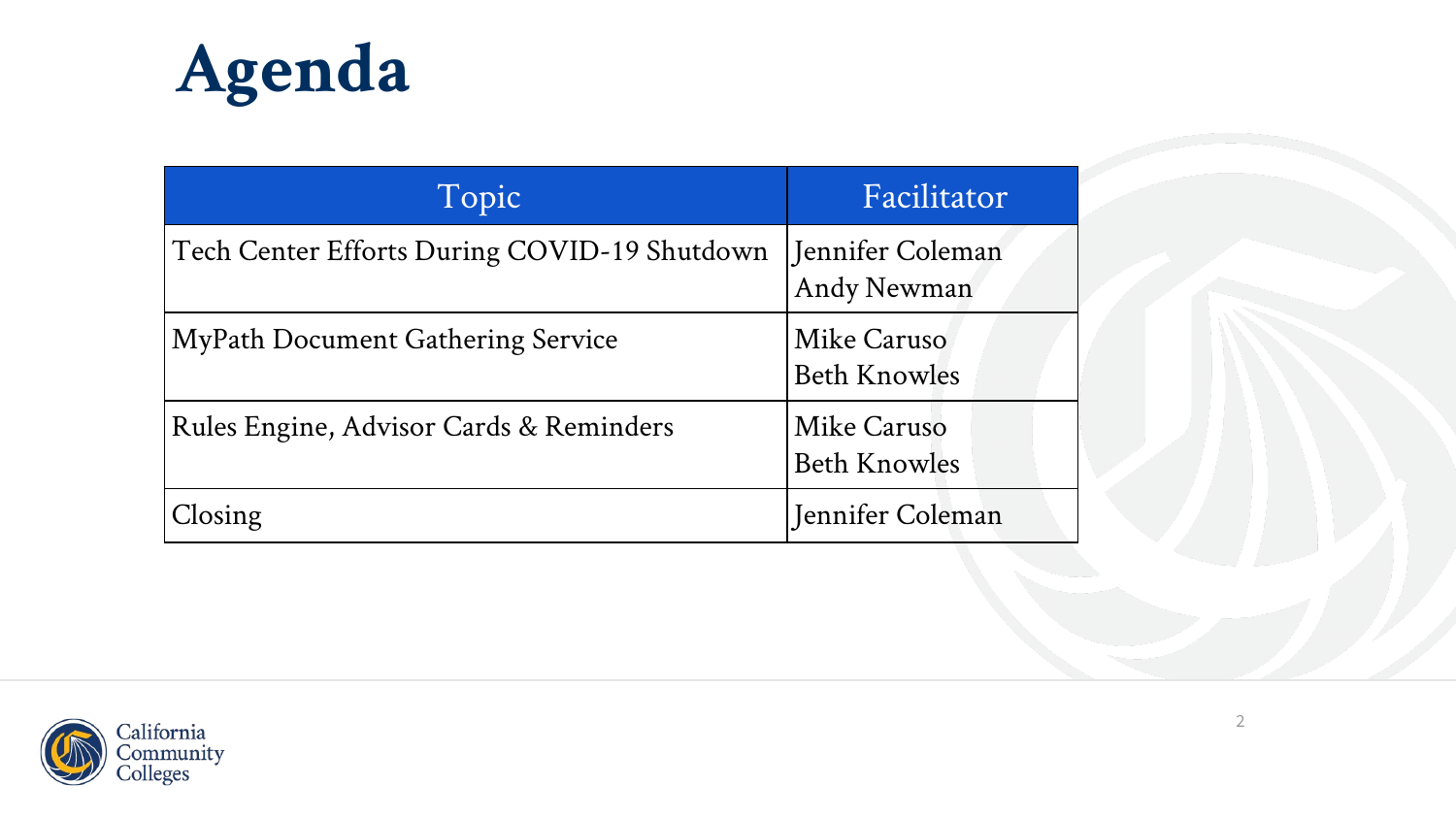

| Topic                                        | Facilitator                        |
|----------------------------------------------|------------------------------------|
| Tech Center Efforts During COVID-19 Shutdown | Jennifer Coleman<br>Andy Newman    |
| <b>MyPath Document Gathering Service</b>     | Mike Caruso<br><b>Beth Knowles</b> |
| Rules Engine, Advisor Cards & Reminders      | Mike Caruso<br><b>Beth Knowles</b> |
| Closing                                      | Jennifer Coleman                   |

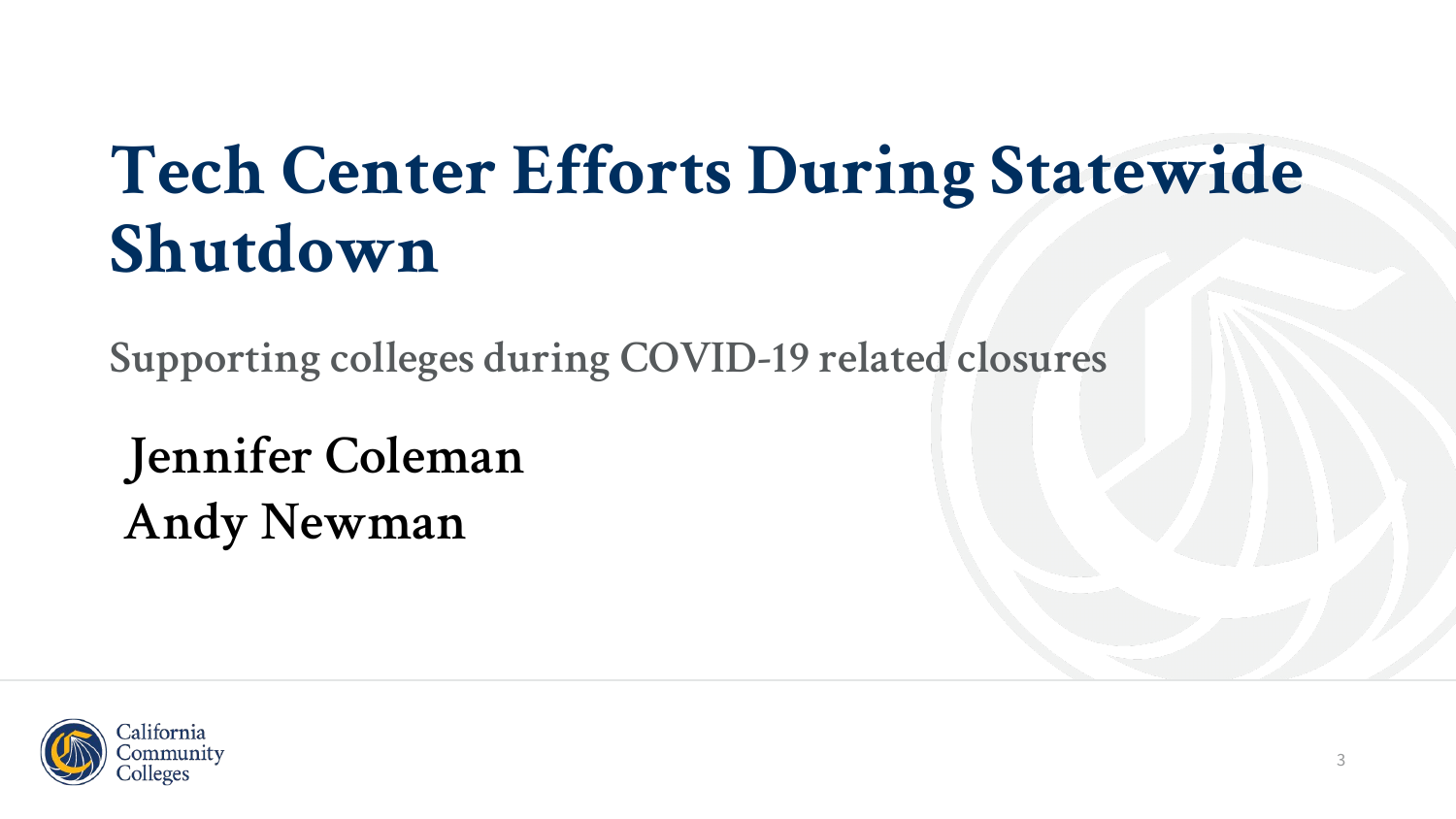#### **Tech Center Efforts During Statewide Shutdown**

**Supporting colleges during COVID-19 related closures**

**Jennifer Coleman Andy Newman**

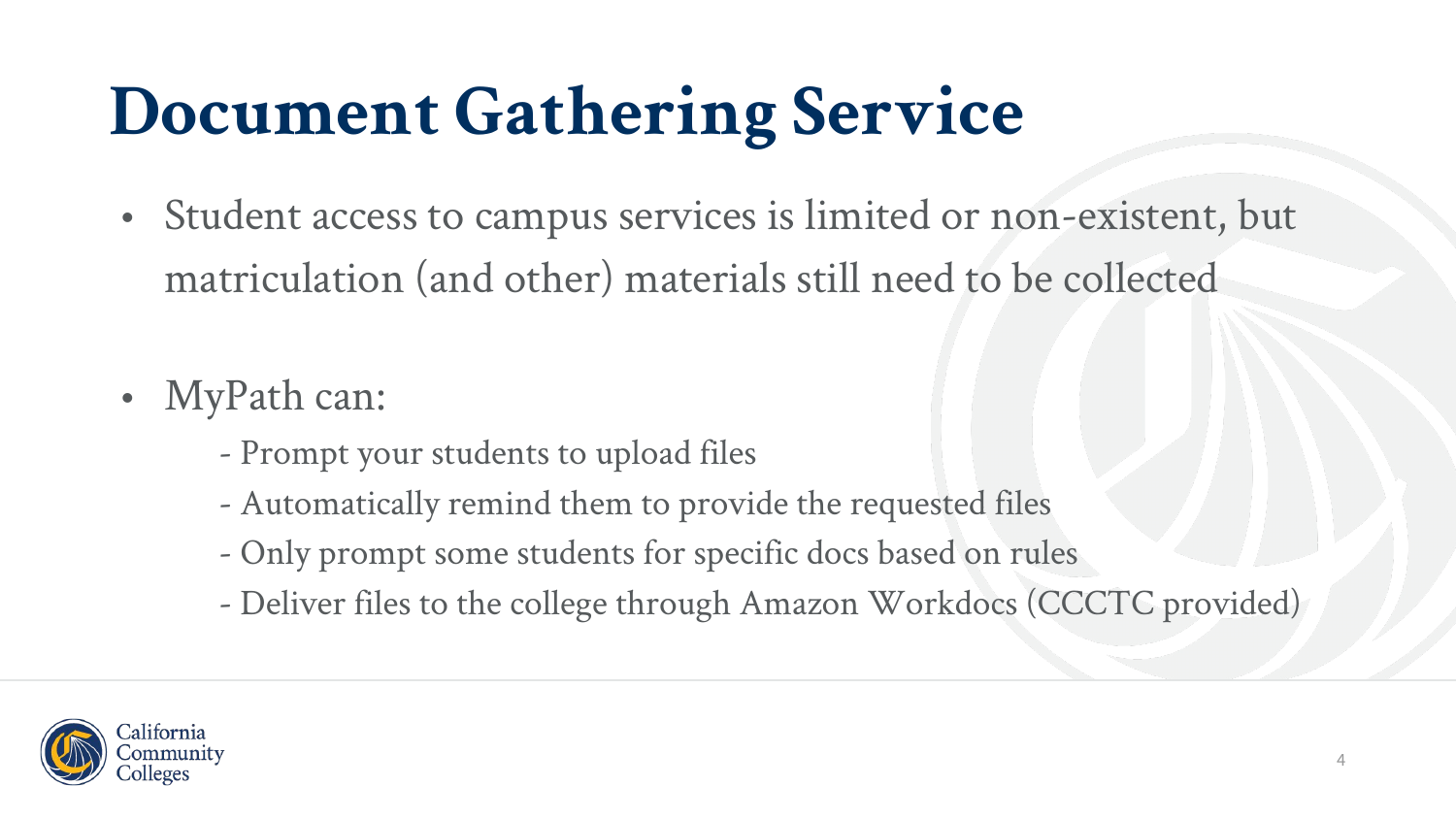# **Document Gathering Service**

- Student access to campus services is limited or non-existent, but matriculation (and other) materials still need to be collected
- MyPath can:
	- Prompt your students to upload files
	- Automatically remind them to provide the requested files
	- Only prompt some students for specific docs based on rules
	- Deliver files to the college through Amazon Workdocs (CCCTC provided)

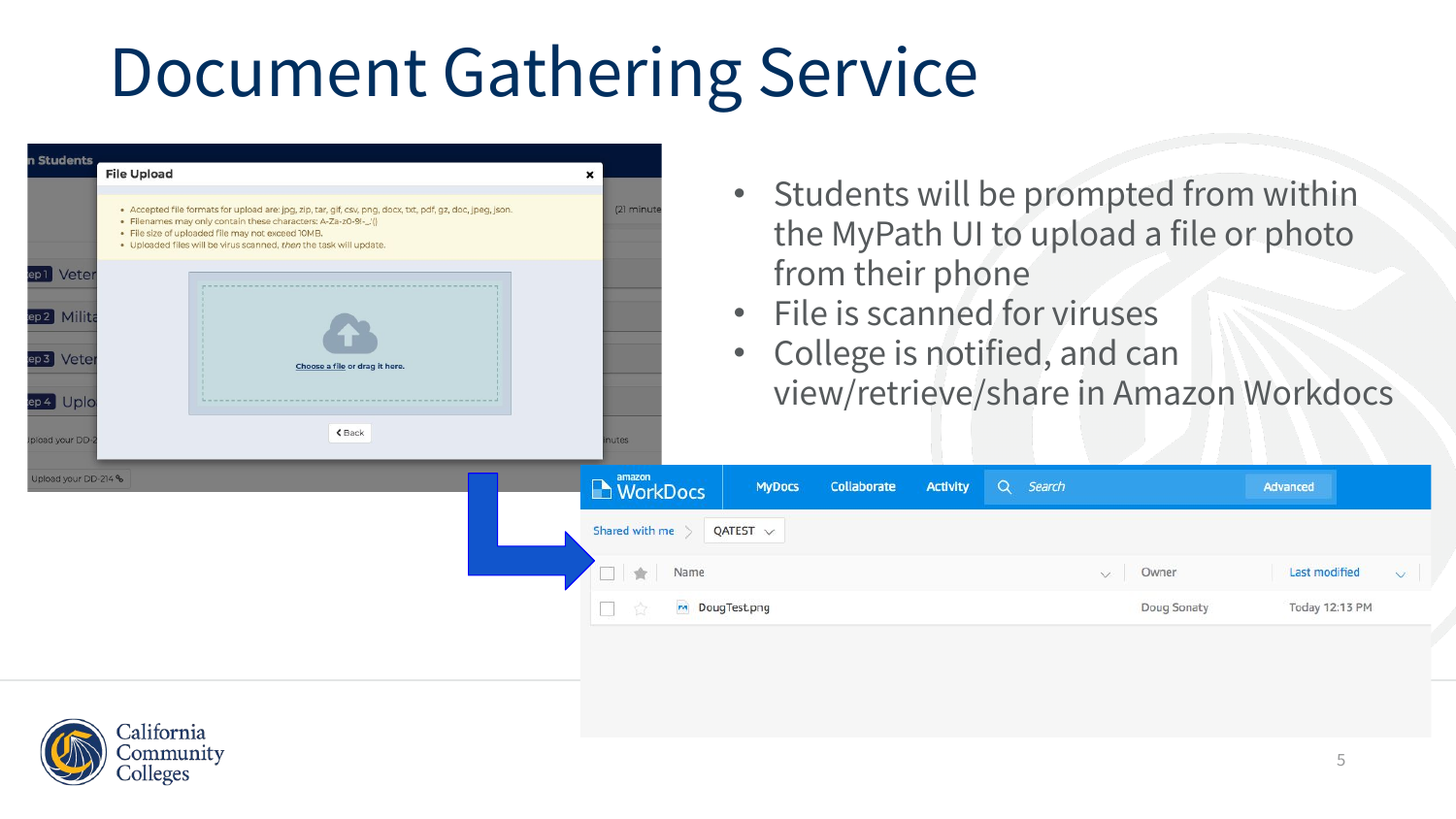## Document Gathering Service



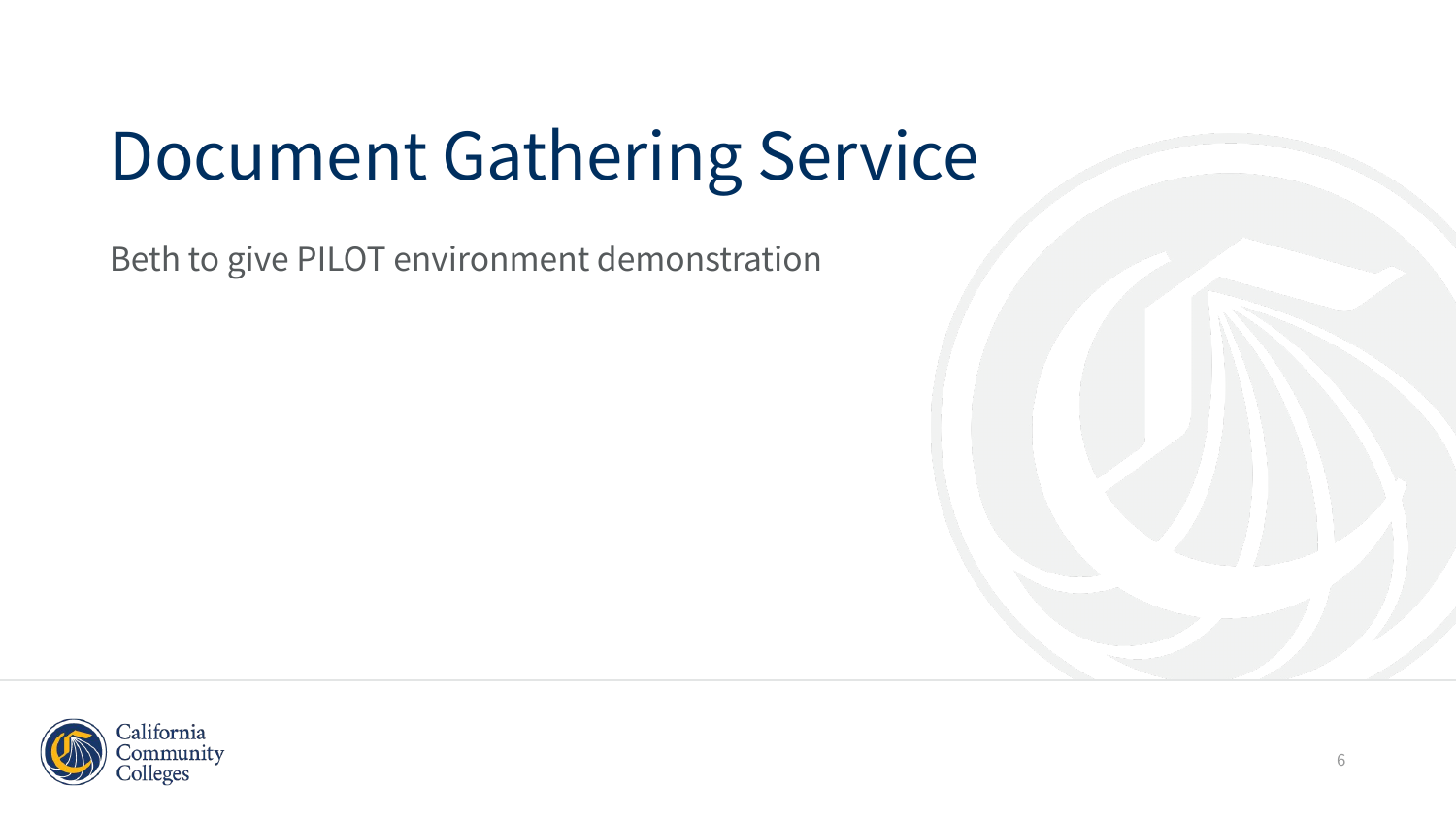# Document Gathering Service

Beth to give PILOT environment demonstration

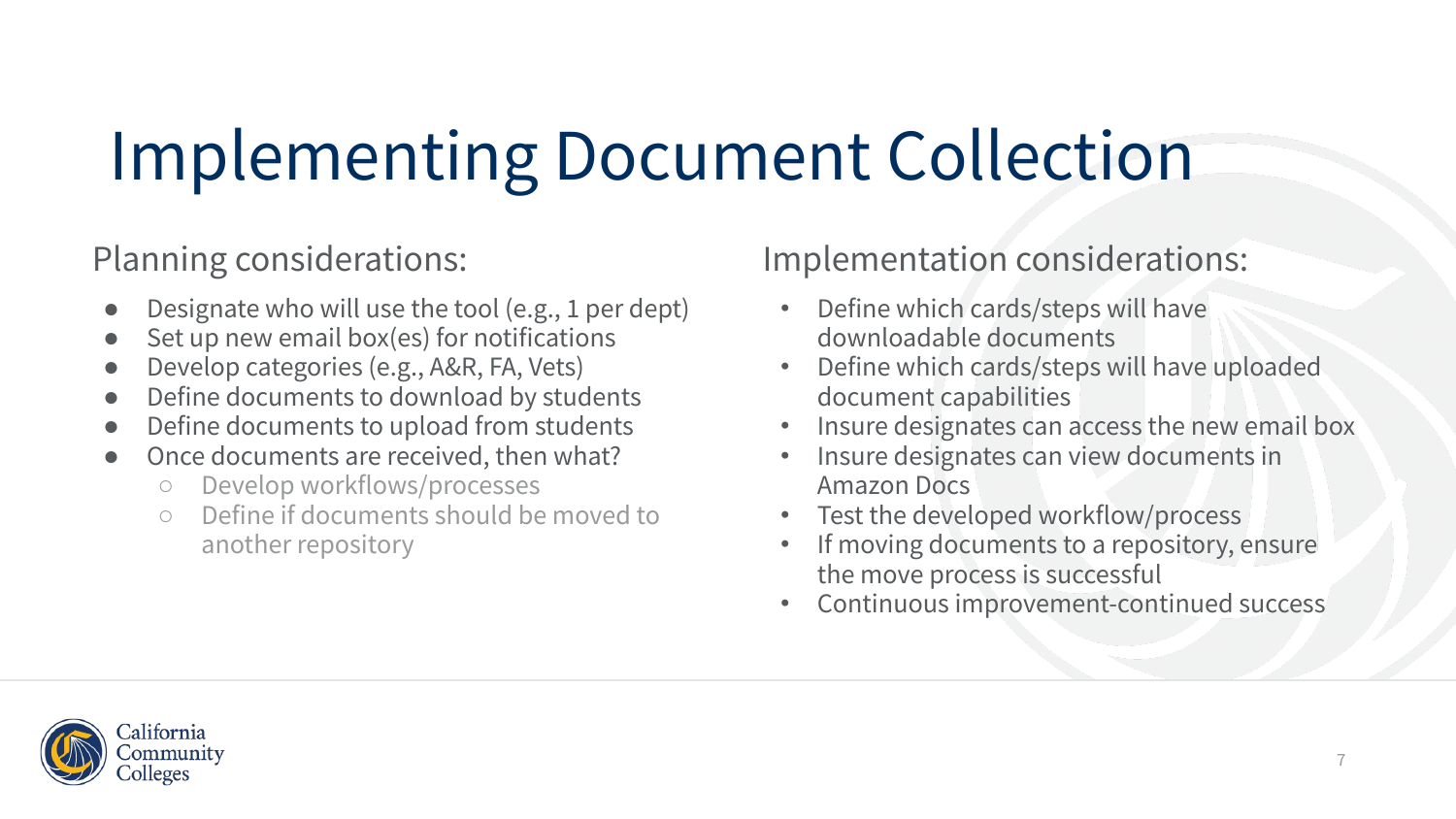# Implementing Document Collection

Planning considerations:

- Designate who will use the tool (e.g., 1 per dept)
- $\bullet$  Set up new email box(es) for notifications
- Develop categories (e.g., A&R, FA, Vets)
- Define documents to download by students
- Define documents to upload from students
- Once documents are received, then what?
	- Develop workflows/processes
	- Define if documents should be moved to another repository

Implementation considerations:

- Define which cards/steps will have downloadable documents
- Define which cards/steps will have uploaded document capabilities
- Insure designates can access the new email box
- Insure designates can view documents in Amazon Docs
- Test the developed workflow/process
- If moving documents to a repository, ensure the move process is successful
- Continuous improvement-continued success

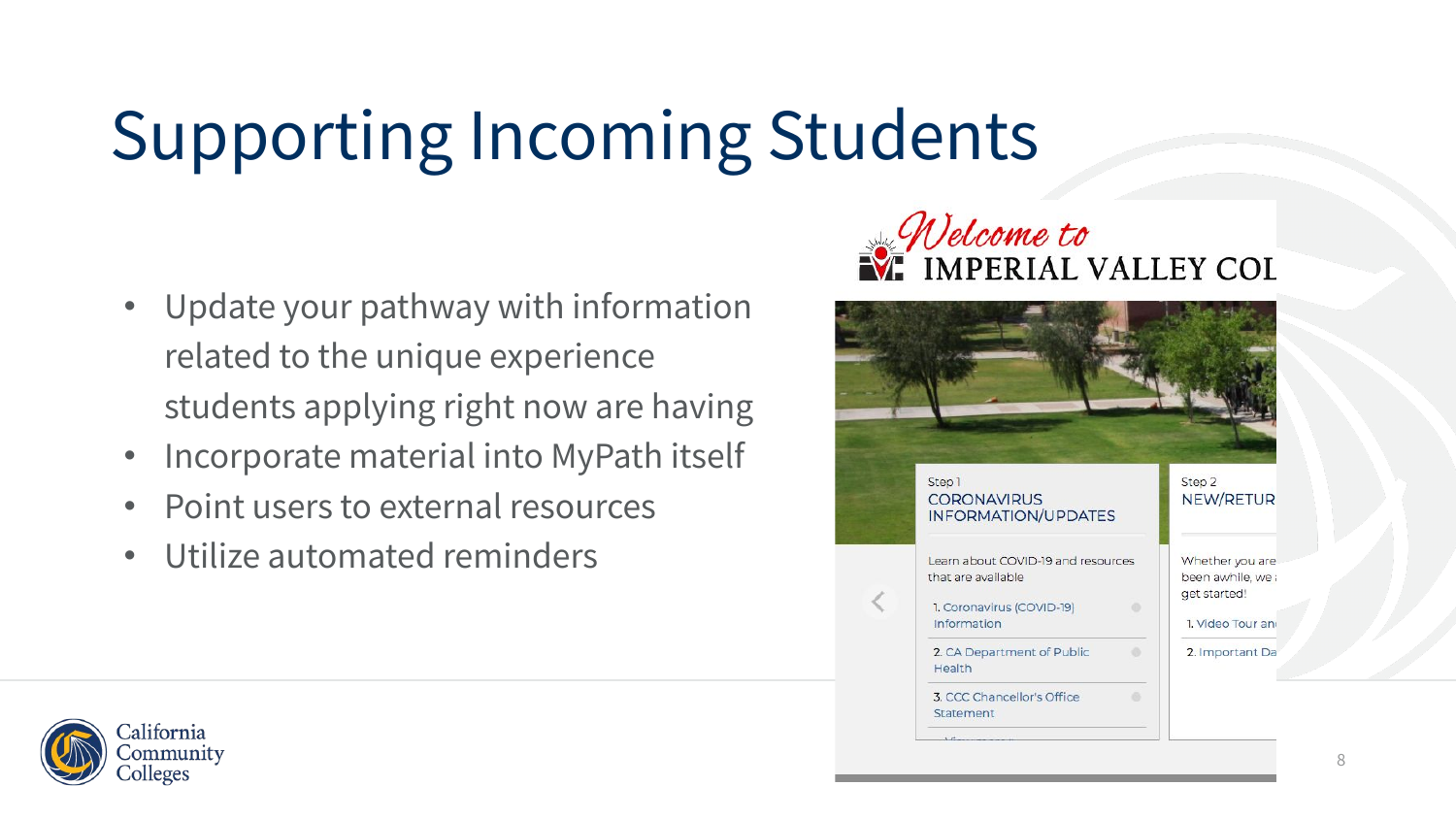# Supporting Incoming Students

- Update your pathway with information related to the unique experience students applying right now are having
- Incorporate material into MyPath itself
- Point users to external resources
- Utilize automated reminders





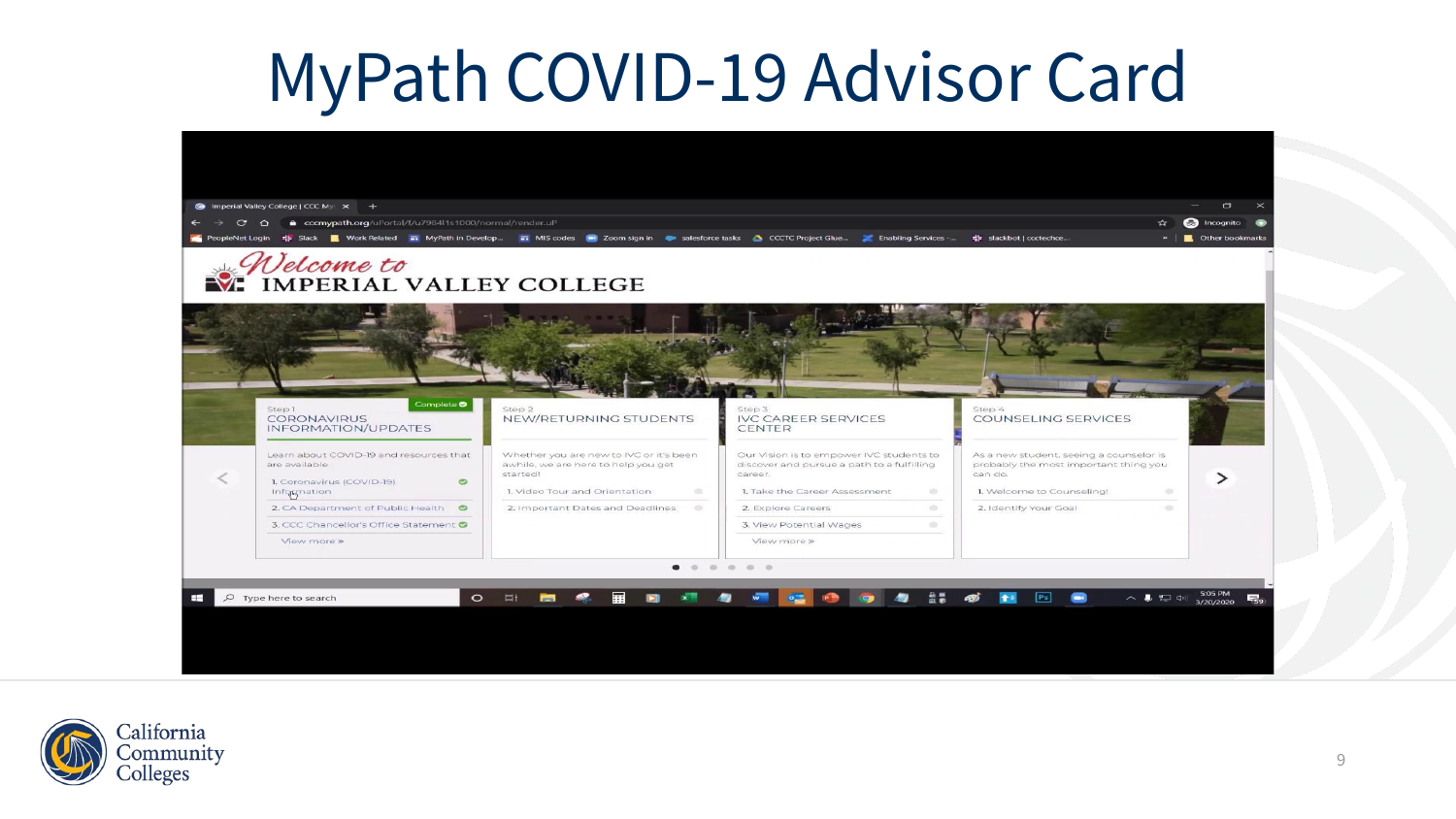#### MyPath COVID-19 Advisor Card